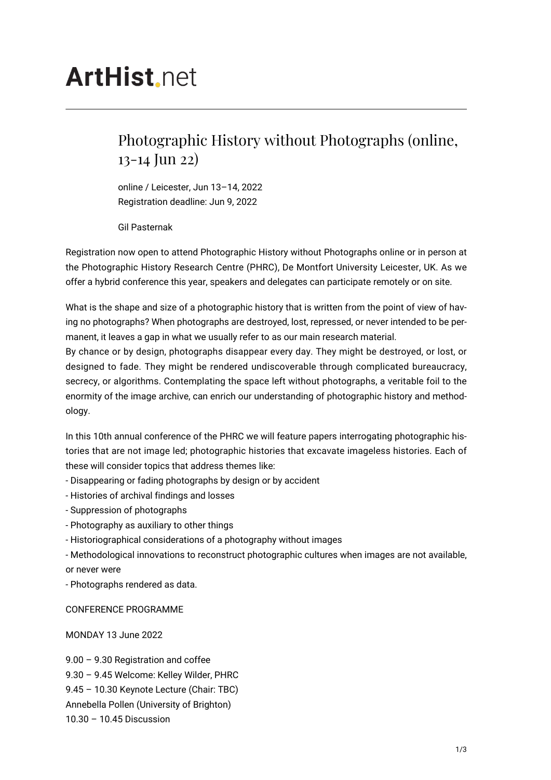## **ArtHist** net

## Photographic History without Photographs (online, 13-14 Jun 22)

online / Leicester, Jun 13–14, 2022 Registration deadline: Jun 9, 2022

Gil Pasternak

Registration now open to attend Photographic History without Photographs online or in person at the Photographic History Research Centre (PHRC), De Montfort University Leicester, UK. As we offer a hybrid conference this year, speakers and delegates can participate remotely or on site.

What is the shape and size of a photographic history that is written from the point of view of having no photographs? When photographs are destroyed, lost, repressed, or never intended to be permanent, it leaves a gap in what we usually refer to as our main research material.

By chance or by design, photographs disappear every day. They might be destroyed, or lost, or designed to fade. They might be rendered undiscoverable through complicated bureaucracy, secrecy, or algorithms. Contemplating the space left without photographs, a veritable foil to the enormity of the image archive, can enrich our understanding of photographic history and methodology.

In this 10th annual conference of the PHRC we will feature papers interrogating photographic histories that are not image led; photographic histories that excavate imageless histories. Each of these will consider topics that address themes like:

- Disappearing or fading photographs by design or by accident

- Histories of archival findings and losses

- Suppression of photographs

- Photography as auxiliary to other things
- Historiographical considerations of a photography without images

- Methodological innovations to reconstruct photographic cultures when images are not available, or never were

- Photographs rendered as data.

CONFERENCE PROGRAMME

MONDAY 13 June 2022

9.00 – 9.30 Registration and coffee 9.30 – 9.45 Welcome: Kelley Wilder, PHRC 9.45 – 10.30 Keynote Lecture (Chair: TBC) Annebella Pollen (University of Brighton) 10.30 – 10.45 Discussion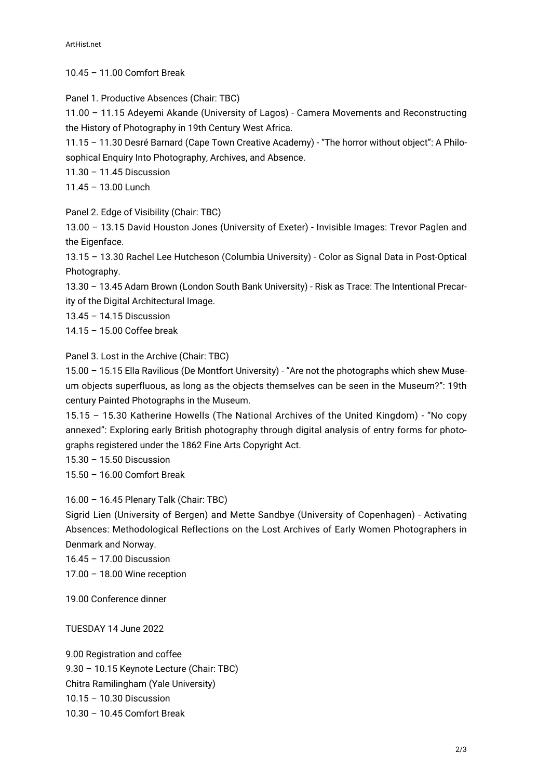10.45 – 11.00 Comfort Break

Panel 1. Productive Absences (Chair: TBC)

11.00 – 11.15 Adeyemi Akande (University of Lagos) - Camera Movements and Reconstructing the History of Photography in 19th Century West Africa.

11.15 – 11.30 Desré Barnard (Cape Town Creative Academy) - "The horror without object": A Philosophical Enquiry Into Photography, Archives, and Absence.

11.30 – 11.45 Discussion

11.45 – 13.00 Lunch

Panel 2. Edge of Visibility (Chair: TBC)

13.00 – 13.15 David Houston Jones (University of Exeter) - Invisible Images: Trevor Paglen and the Eigenface.

13.15 – 13.30 Rachel Lee Hutcheson (Columbia University) - Color as Signal Data in Post-Optical Photography.

13.30 – 13.45 Adam Brown (London South Bank University) - Risk as Trace: The Intentional Precarity of the Digital Architectural Image.

13.45 – 14.15 Discussion

14.15 – 15.00 Coffee break

Panel 3. Lost in the Archive (Chair: TBC)

15.00 – 15.15 Ella Ravilious (De Montfort University) - "Are not the photographs which shew Museum objects superfluous, as long as the objects themselves can be seen in the Museum?": 19th century Painted Photographs in the Museum.

15.15 – 15.30 Katherine Howells (The National Archives of the United Kingdom) - "No copy annexed": Exploring early British photography through digital analysis of entry forms for photographs registered under the 1862 Fine Arts Copyright Act.

15.30 – 15.50 Discussion

15.50 – 16.00 Comfort Break

16.00 – 16.45 Plenary Talk (Chair: TBC)

Sigrid Lien (University of Bergen) and Mette Sandbye (University of Copenhagen) - Activating Absences: Methodological Reflections on the Lost Archives of Early Women Photographers in Denmark and Norway.

16.45 – 17.00 Discussion 17.00 – 18.00 Wine reception

19.00 Conference dinner

TUESDAY 14 June 2022

9.00 Registration and coffee 9.30 – 10.15 Keynote Lecture (Chair: TBC) Chitra Ramilingham (Yale University) 10.15 – 10.30 Discussion 10.30 – 10.45 Comfort Break